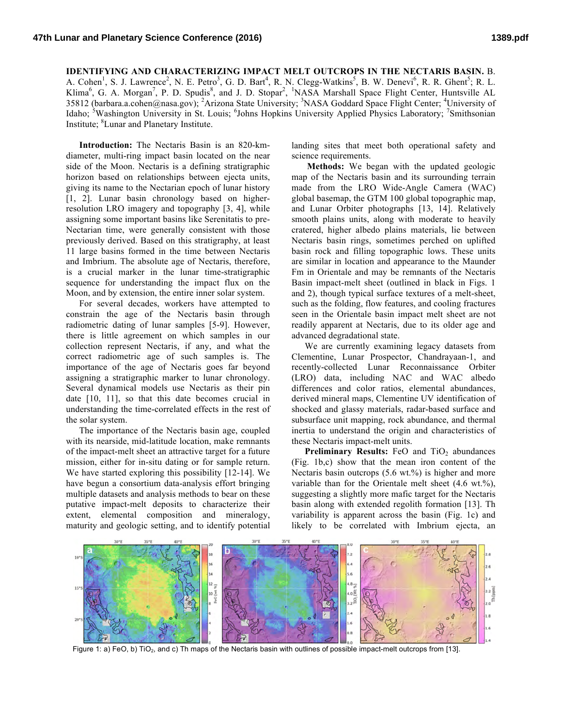## **IDENTIFYING AND CHARACTERIZING IMPACT MELT OUTCROPS IN THE NECTARIS BASIN.** B.

A. Cohen<sup>1</sup>, S. J. Lawrence<sup>2</sup>, N. E. Petro<sup>3</sup>, G. D. Bart<sup>4</sup>, R. N. Clegg-Watkins<sup>5</sup>, B. W. Denevi<sup>6</sup>, R. R. Ghent<sup>5</sup>; R. L. Klima<sup>6</sup>, G. A. Morgan<sup>7</sup>, P. D. Spudis<sup>8</sup>, and J. D. Stopar<sup>2</sup>, <sup>1</sup>NASA Marshall Space Flight Center, Huntsville AL 35812 (barbara.a.cohen@nasa.gov); <sup>2</sup>Arizona State University; <sup>3</sup>NASA Goddard Space Flight Center; <sup>4</sup>University of Idaho; <sup>5</sup>Washington University in St. Louis; <sup>6</sup>Johns Hopkins University Applied Physics Laboratory; <sup>7</sup>Smithsonian Institute; <sup>8</sup>Lunar and Planetary Institute.

**Introduction:** The Nectaris Basin is an 820-kmdiameter, multi-ring impact basin located on the near side of the Moon. Nectaris is a defining stratigraphic horizon based on relationships between ejecta units, giving its name to the Nectarian epoch of lunar history [1, 2]. Lunar basin chronology based on higherresolution LRO imagery and topography [3, 4], while assigning some important basins like Serenitatis to pre-Nectarian time, were generally consistent with those previously derived. Based on this stratigraphy, at least 11 large basins formed in the time between Nectaris and Imbrium. The absolute age of Nectaris, therefore, is a crucial marker in the lunar time-stratigraphic sequence for understanding the impact flux on the Moon, and by extension, the entire inner solar system.

For several decades, workers have attempted to constrain the age of the Nectaris basin through radiometric dating of lunar samples [5-9]. However, there is little agreement on which samples in our collection represent Nectaris, if any, and what the correct radiometric age of such samples is. The importance of the age of Nectaris goes far beyond assigning a stratigraphic marker to lunar chronology. Several dynamical models use Nectaris as their pin date [10, 11], so that this date becomes crucial in understanding the time-correlated effects in the rest of the solar system.

The importance of the Nectaris basin age, coupled with its nearside, mid-latitude location, make remnants of the impact-melt sheet an attractive target for a future mission, either for in-situ dating or for sample return. We have started exploring this possibility [12-14]. We have begun a consortium data-analysis effort bringing multiple datasets and analysis methods to bear on these putative impact-melt deposits to characterize their extent, elemental composition and mineralogy, maturity and geologic setting, and to identify potential

landing sites that meet both operational safety and science requirements.

**Methods:** We began with the updated geologic map of the Nectaris basin and its surrounding terrain made from the LRO Wide-Angle Camera (WAC) global basemap, the GTM 100 global topographic map, and Lunar Orbiter photographs [13, 14]. Relatively smooth plains units, along with moderate to heavily cratered, higher albedo plains materials, lie between Nectaris basin rings, sometimes perched on uplifted basin rock and filling topographic lows. These units are similar in location and appearance to the Maunder Fm in Orientale and may be remnants of the Nectaris Basin impact-melt sheet (outlined in black in Figs. 1 and 2), though typical surface textures of a melt-sheet, such as the folding, flow features, and cooling fractures seen in the Orientale basin impact melt sheet are not readily apparent at Nectaris, due to its older age and advanced degradational state.

We are currently examining legacy datasets from Clementine, Lunar Prospector, Chandrayaan-1, and recently-collected Lunar Reconnaissance Orbiter (LRO) data, including NAC and WAC albedo differences and color ratios, elemental abundances, derived mineral maps, Clementine UV identification of shocked and glassy materials, radar-based surface and subsurface unit mapping, rock abundance, and thermal inertia to understand the origin and characteristics of these Nectaris impact-melt units.

**Preliminary Results:** FeO and TiO<sub>2</sub> abundances (Fig. 1b,c) show that the mean iron content of the Nectaris basin outcrops  $(5.6 \text{ wt.})$ % is higher and more variable than for the Orientale melt sheet (4.6 wt.%), suggesting a slightly more mafic target for the Nectaris basin along with extended regolith formation [13]. Th variability is apparent across the basin (Fig. 1c) and likely to be correlated with Imbrium ejecta, an



Figure 1: a) FeO, b) TiO<sub>2</sub>, and c) Th maps of the Nectaris basin with outlines of possible impact-melt outcrops from [13].